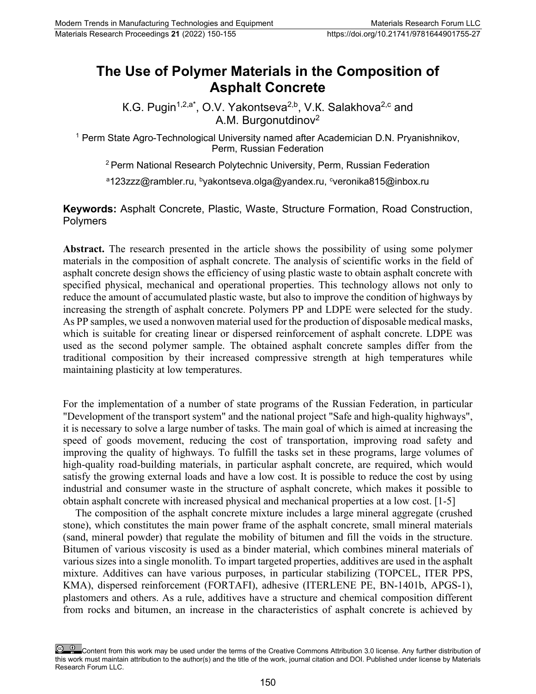## **The Use of Polymer Materials in the Composition of Asphalt Concrete**

К.G. Pugin<sup>1,2,a\*</sup>, O.V. Yakontseva<sup>2,b</sup>, V.K. Salakhova<sup>2,c</sup> and A.M. Burgonutdinov<sup>2</sup>

<sup>1</sup> Perm State Agro-Technological University named after Academician D.N. Pryanishnikov, Perm, Russian Federation

2 Perm National Research Polytechnic University, Perm, Russian Federation

<sup>a</sup>123zzz@rambler.ru, <sup>b</sup>yakontseva.olga@yandex.ru, <sup>c</sup>veronika815@inbox.ru

**Keywords:** Asphalt Concrete, Plastic, Waste, Structure Formation, Road Construction, Polymers

**Abstract.** The research presented in the article shows the possibility of using some polymer materials in the composition of asphalt concrete. The analysis of scientific works in the field of asphalt concrete design shows the efficiency of using plastic waste to obtain asphalt concrete with specified physical, mechanical and operational properties. This technology allows not only to reduce the amount of accumulated plastic waste, but also to improve the condition of highways by increasing the strength of asphalt concrete. Polymers PP and LDPE were selected for the study. As PP samples, we used a nonwoven material used for the production of disposable medical masks, which is suitable for creating linear or dispersed reinforcement of asphalt concrete. LDPE was used as the second polymer sample. The obtained asphalt concrete samples differ from the traditional composition by their increased compressive strength at high temperatures while maintaining plasticity at low temperatures.

For the implementation of a number of state programs of the Russian Federation, in particular "Development of the transport system" and the national project "Safe and high-quality highways", it is necessary to solve a large number of tasks. The main goal of which is aimed at increasing the speed of goods movement, reducing the cost of transportation, improving road safety and improving the quality of highways. To fulfill the tasks set in these programs, large volumes of high-quality road-building materials, in particular asphalt concrete, are required, which would satisfy the growing external loads and have a low cost. It is possible to reduce the cost by using industrial and consumer waste in the structure of asphalt concrete, which makes it possible to obtain asphalt concrete with increased physical and mechanical properties at a low cost. [1-5]

The composition of the asphalt concrete mixture includes a large mineral aggregate (crushed stone), which constitutes the main power frame of the asphalt concrete, small mineral materials (sand, mineral powder) that regulate the mobility of bitumen and fill the voids in the structure. Bitumen of various viscosity is used as a binder material, which combines mineral materials of various sizes into a single monolith. To impart targeted properties, additives are used in the asphalt mixture. Additives can have various purposes, in particular stabilizing (ТОРСЕL, ITER PPS, KMA), dispersed reinforcement (FORTAFI), adhesive (ITERLENE PE, BN-1401b, APGS-1), plastomers and others. As a rule, additives have a structure and chemical composition different from rocks and bitumen, an increase in the characteristics of asphalt concrete is achieved by

Content from this work may be used under the terms of the Creative Commons Attribution 3.0 license. Any further distribution of this work must maintain attribution to the author(s) and the title of the work, journal citation and DOI. Published under license by Materials Research Forum LLC.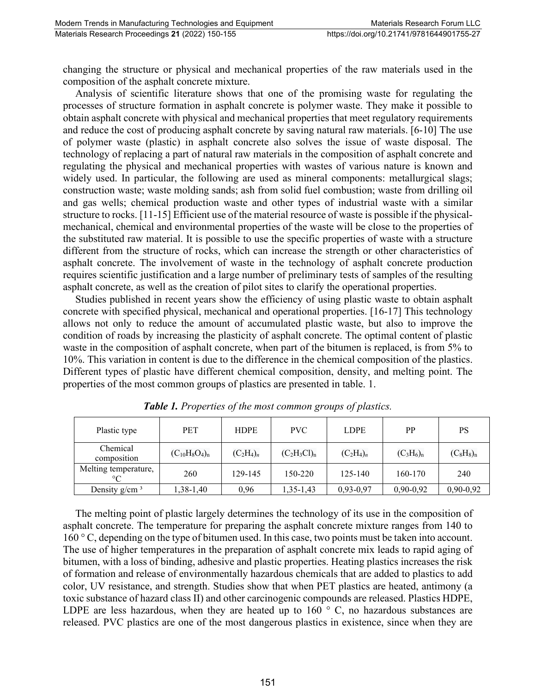changing the structure or physical and mechanical properties of the raw materials used in the composition of the asphalt concrete mixture.

Analysis of scientific literature shows that one of the promising waste for regulating the processes of structure formation in asphalt concrete is polymer waste. They make it possible to obtain asphalt concrete with physical and mechanical properties that meet regulatory requirements and reduce the cost of producing asphalt concrete by saving natural raw materials. [6-10] The use of polymer waste (plastic) in asphalt concrete also solves the issue of waste disposal. The technology of replacing a part of natural raw materials in the composition of asphalt concrete and regulating the physical and mechanical properties with wastes of various nature is known and widely used. In particular, the following are used as mineral components: metallurgical slags; construction waste; waste molding sands; ash from solid fuel combustion; waste from drilling oil and gas wells; chemical production waste and other types of industrial waste with a similar structure to rocks. [11-15] Efficient use of the material resource of waste is possible if the physicalmechanical, chemical and environmental properties of the waste will be close to the properties of the substituted raw material. It is possible to use the specific properties of waste with a structure different from the structure of rocks, which can increase the strength or other characteristics of asphalt concrete. The involvement of waste in the technology of asphalt concrete production requires scientific justification and a large number of preliminary tests of samples of the resulting asphalt concrete, as well as the creation of pilot sites to clarify the operational properties.

Studies published in recent years show the efficiency of using plastic waste to obtain asphalt concrete with specified physical, mechanical and operational properties. [16-17] This technology allows not only to reduce the amount of accumulated plastic waste, but also to improve the condition of roads by increasing the plasticity of asphalt concrete. The optimal content of plastic waste in the composition of asphalt concrete, when part of the bitumen is replaced, is from 5% to 10%. This variation in content is due to the difference in the chemical composition of the plastics. Different types of plastic have different chemical composition, density, and melting point. The properties of the most common groups of plastics are presented in table. 1.

| Plastic type                    | <b>PET</b>         | <b>HDPE</b>  | PVC            | <b>LDPE</b>  | PP           | PS           |
|---------------------------------|--------------------|--------------|----------------|--------------|--------------|--------------|
| Chemical<br>composition         | $(C_{10}H_8O_4)_n$ | $(C_2H_4)_n$ | $(C_2H_3Cl)_n$ | $(C_2H_4)_n$ | $(C_3H_6)_n$ | $(C_8H_8)_n$ |
| Melting temperature,<br>$\circ$ | 260                | 129-145      | 150-220        | $125 - 140$  | 160-170      | 240          |
| Density $g/cm^3$                | 1,38-1,40          | 0,96         | 1,35-1,43      | $0,93-0,97$  | $0,90-0,92$  | $0,90-0,92$  |

*Table 1. Properties of the most common groups of plastics.*

The melting point of plastic largely determines the technology of its use in the composition of asphalt concrete. The temperature for preparing the asphalt concrete mixture ranges from 140 to 160 ° C, depending on the type of bitumen used. In this case, two points must be taken into account. The use of higher temperatures in the preparation of asphalt concrete mix leads to rapid aging of bitumen, with a loss of binding, adhesive and plastic properties. Heating plastics increases the risk of formation and release of environmentally hazardous chemicals that are added to plastics to add color, UV resistance, and strength. Studies show that when PET plastics are heated, antimony (a toxic substance of hazard class II) and other carcinogenic compounds are released. Plastics HDPE, LDPE are less hazardous, when they are heated up to 160 ° C, no hazardous substances are released. PVC plastics are one of the most dangerous plastics in existence, since when they are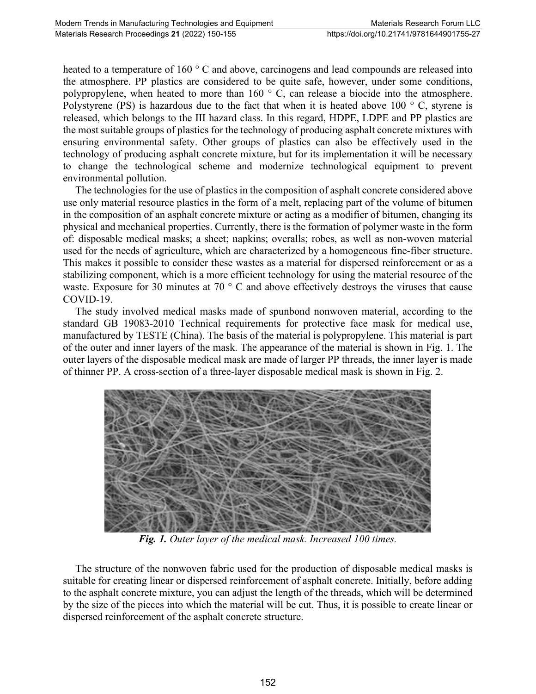heated to a temperature of 160 ° C and above, carcinogens and lead compounds are released into the atmosphere. PP plastics are considered to be quite safe, however, under some conditions, polypropylene, when heated to more than 160 ° C, can release a biocide into the atmosphere. Polystyrene (PS) is hazardous due to the fact that when it is heated above 100  $\degree$  C, styrene is released, which belongs to the III hazard class. In this regard, HDPE, LDPE and PP plastics are the most suitable groups of plastics for the technology of producing asphalt concrete mixtures with ensuring environmental safety. Other groups of plastics can also be effectively used in the technology of producing asphalt concrete mixture, but for its implementation it will be necessary to change the technological scheme and modernize technological equipment to prevent environmental pollution.

The technologies for the use of plastics in the composition of asphalt concrete considered above use only material resource plastics in the form of a melt, replacing part of the volume of bitumen in the composition of an asphalt concrete mixture or acting as a modifier of bitumen, changing its physical and mechanical properties. Currently, there is the formation of polymer waste in the form of: disposable medical masks; a sheet; napkins; overalls; robes, as well as non-woven material used for the needs of agriculture, which are characterized by a homogeneous fine-fiber structure. This makes it possible to consider these wastes as a material for dispersed reinforcement or as a stabilizing component, which is a more efficient technology for using the material resource of the waste. Exposure for 30 minutes at 70 ° C and above effectively destroys the viruses that cause COVID-19.

The study involved medical masks made of spunbond nonwoven material, according to the standard GB 19083-2010 Technical requirements for protective face mask for medical use, manufactured by TESTE (China). The basis of the material is polypropylene. This material is part of the outer and inner layers of the mask. The appearance of the material is shown in Fig. 1. The outer layers of the disposable medical mask are made of larger PP threads, the inner layer is made of thinner PP. A cross-section of a three-layer disposable medical mask is shown in Fig. 2.



*Fig. 1. Outer layer of the medical mask. Increased 100 times.*

The structure of the nonwoven fabric used for the production of disposable medical masks is suitable for creating linear or dispersed reinforcement of asphalt concrete. Initially, before adding to the asphalt concrete mixture, you can adjust the length of the threads, which will be determined by the size of the pieces into which the material will be cut. Thus, it is possible to create linear or dispersed reinforcement of the asphalt concrete structure.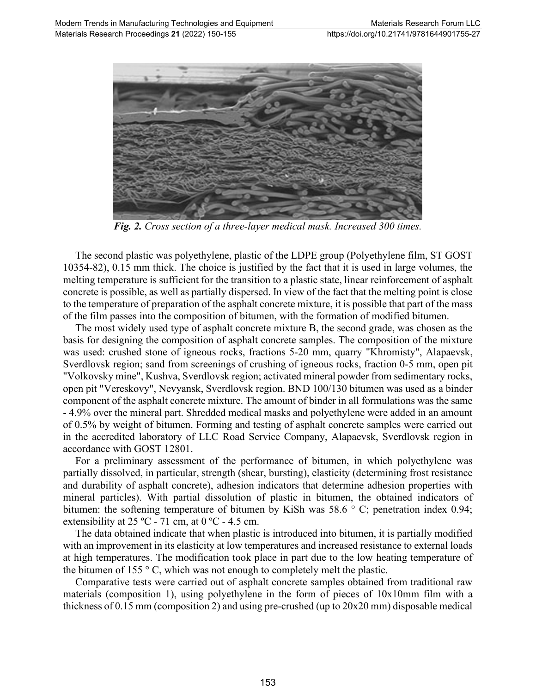

*Fig. 2. Cross section of a three-layer medical mask. Increased 300 times.*

The second plastic was polyethylene, plastic of the LDPE group (Polyethylene film, ST GOST 10354-82), 0.15 mm thick. The choice is justified by the fact that it is used in large volumes, the melting temperature is sufficient for the transition to a plastic state, linear reinforcement of asphalt concrete is possible, as well as partially dispersed. In view of the fact that the melting point is close to the temperature of preparation of the asphalt concrete mixture, it is possible that part of the mass of the film passes into the composition of bitumen, with the formation of modified bitumen.

The most widely used type of asphalt concrete mixture B, the second grade, was chosen as the basis for designing the composition of asphalt concrete samples. The composition of the mixture was used: crushed stone of igneous rocks, fractions 5-20 mm, quarry "Khromisty", Alapaevsk, Sverdlovsk region; sand from screenings of crushing of igneous rocks, fraction 0-5 mm, open pit "Volkovsky mine", Kushva, Sverdlovsk region; activated mineral powder from sedimentary rocks, open pit "Vereskovy", Nevyansk, Sverdlovsk region. BND 100/130 bitumen was used as a binder component of the asphalt concrete mixture. The amount of binder in all formulations was the same - 4.9% over the mineral part. Shredded medical masks and polyethylene were added in an amount of 0.5% by weight of bitumen. Forming and testing of asphalt concrete samples were carried out in the accredited laboratory of LLC Road Service Company, Alapaevsk, Sverdlovsk region in accordance with GOST 12801.

For a preliminary assessment of the performance of bitumen, in which polyethylene was partially dissolved, in particular, strength (shear, bursting), elasticity (determining frost resistance and durability of asphalt concrete), adhesion indicators that determine adhesion properties with mineral particles). With partial dissolution of plastic in bitumen, the obtained indicators of bitumen: the softening temperature of bitumen by KiSh was 58.6 ° C; penetration index 0.94; extensibility at  $25 \text{ °C}$  - 71 cm, at 0  $\text{ °C}$  - 4.5 cm.

The data obtained indicate that when plastic is introduced into bitumen, it is partially modified with an improvement in its elasticity at low temperatures and increased resistance to external loads at high temperatures. The modification took place in part due to the low heating temperature of the bitumen of 155  $\degree$  C, which was not enough to completely melt the plastic.

Comparative tests were carried out of asphalt concrete samples obtained from traditional raw materials (composition 1), using polyethylene in the form of pieces of 10x10mm film with a thickness of 0.15 mm (composition 2) and using pre-crushed (up to 20x20 mm) disposable medical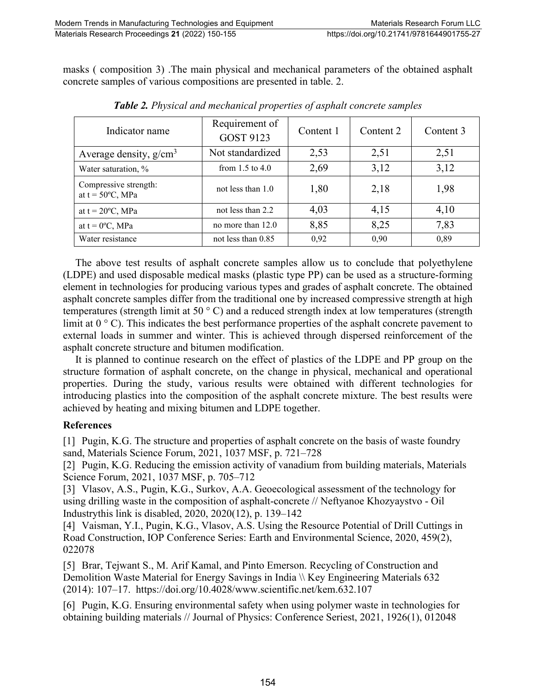masks ( composition 3) .The main physical and mechanical parameters of the obtained asphalt concrete samples of various compositions are presented in table. 2.

| Indicator name                                      | Requirement of<br><b>GOST 9123</b> | Content 1 | Content 2 | Content 3 |
|-----------------------------------------------------|------------------------------------|-----------|-----------|-----------|
| Average density, $g/cm3$                            | Not standardized                   | 2,53      | 2,51      | 2,51      |
| Water saturation, %                                 | from $1.5$ to $4.0$                | 2,69      | 3,12      | 3,12      |
| Compressive strength:<br>at $t = 50^{\circ}C$ , MPa | not less than 1.0                  | 1,80      | 2,18      | 1,98      |
| at $t = 20$ °C, MPa                                 | not less than 2.2                  | 4,03      | 4,15      | 4,10      |
| at $t = 0$ <sup>o</sup> C, MPa                      | no more than 12.0                  | 8,85      | 8,25      | 7,83      |
| Water resistance                                    | not less than 0.85                 | 0,92      | 0,90      | 0,89      |

*Table 2. Physical and mechanical properties of asphalt concrete samples*

The above test results of asphalt concrete samples allow us to conclude that polyethylene (LDPE) and used disposable medical masks (plastic type PP) can be used as a structure-forming element in technologies for producing various types and grades of asphalt concrete. The obtained asphalt concrete samples differ from the traditional one by increased compressive strength at high temperatures (strength limit at 50 ° C) and a reduced strength index at low temperatures (strength limit at  $0^{\circ}$  C). This indicates the best performance properties of the asphalt concrete pavement to external loads in summer and winter. This is achieved through dispersed reinforcement of the asphalt concrete structure and bitumen modification.

It is planned to continue research on the effect of plastics of the LDPE and PP group on the structure formation of asphalt concrete, on the change in physical, mechanical and operational properties. During the study, various results were obtained with different technologies for introducing plastics into the composition of the asphalt concrete mixture. The best results were achieved by heating and mixing bitumen and LDPE together.

## **References**

[1] Pugin, K.G. The structure and properties of asphalt concrete on the basis of waste foundry sand, Materials Science Forum, 2021, 1037 MSF, р. 721–728

[2] Pugin, K.G. Reducing the emission activity of vanadium from building materials, Materials Science Forum, 2021, 1037 MSF, р. 705–712

[3] Vlasov, A.S., Pugin, K.G., Surkov, A.A. Geoecological assessment of the technology for using drilling waste in the composition of asphalt-concrete // [Neftyanoe Khozyaystvo -](https://www.scopus.com/authid/detail.uri?authorId=55823720700#disabled) Oil [Industrythis link is disabled,](https://www.scopus.com/authid/detail.uri?authorId=55823720700#disabled) 2020, 2020(12), р. 139–142

[4] Vaisman, Y.I., Pugin, K.G., Vlasov, A.S. Using the Resource Potential of Drill Cuttings in Road Construction, IOP Conference Series: Earth and Environmental Science, 2020, 459(2), 022078

[5] Brar, Tejwant S., M. Arif Kamal, and Pinto Emerson. Recycling of Construction and Demolition Waste Material for Energy Savings in India \\ Key Engineering Materials 632 (2014): 107–17. https://doi.org/10.4028/www.scientific.net/kem.632.107

[6] Pugin, K.G. Ensuring environmental safety when using polymer waste in technologies for obtaining building materials // Journal of Physics: Conference Seriest, 2021, 1926(1), 012048